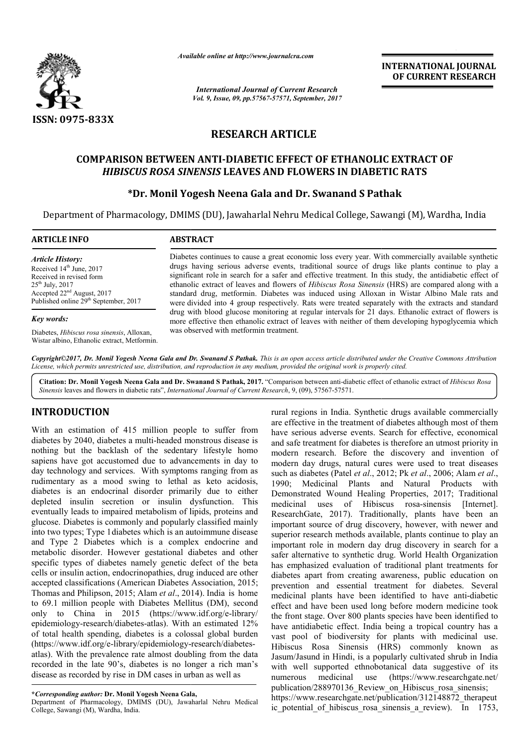

*Available online at http://www.journalcra.com*

*International Journal of Current Research Vol. 9, Issue, 09, pp.57567-57571, September, 2017* **INTERNATIONAL JOURNAL OF CURRENT RESEARCH**

# **RESEARCH ARTICLE**

### **COMPARISON BETWEEN ANTI ANTI-DIABETIC EFFECT OF ETHANOLIC EXTRACT OF**  PARISON BETWEEN ANTI-DIABETIC EFFECT OF ETHANOLIC EXTRAG<br>*HIBISCUS ROSA SINENSIS* LEAVES AND FLOWERS IN DIABETIC RATS

### **\*Dr. Monil Yogesh Neena Gala and Dr. Swanand S Pathak**

Department of Pharmacology, DMIMS (DU), Jawaharlal Nehru Medical College, Sawangi (M), Wardha, India

| <b>ARTICLE INFO</b>                                                                                                                                                                            | <b>ABSTRACT</b>                                                                                                                                                                                                                                                                                                                                                                                                                                                                                                                                                                                                                       |
|------------------------------------------------------------------------------------------------------------------------------------------------------------------------------------------------|---------------------------------------------------------------------------------------------------------------------------------------------------------------------------------------------------------------------------------------------------------------------------------------------------------------------------------------------------------------------------------------------------------------------------------------------------------------------------------------------------------------------------------------------------------------------------------------------------------------------------------------|
| <b>Article History:</b><br>Received $14th$ June, 2017<br>Received in revised form<br>$25^{th}$ July, 2017<br>Accepted $22nd$ August, 2017<br>Published online 29 <sup>th</sup> September, 2017 | Diabetes continues to cause a great economic loss every year. With commercially available synthetic<br>drugs having serious adverse events, traditional source of drugs like plants continue to play a<br>significant role in search for a safer and effective treatment. In this study, the antidiabetic effect of<br>ethanolic extract of leaves and flowers of <i>Hibiscus Rosa Sinensis</i> (HRS) are compared along with a<br>standard drug, metformin. Diabetes was induced using Alloxan in Wistar Albino Male rats and<br>were divided into 4 group respectively. Rats were treated separately with the extracts and standard |
| Key words:                                                                                                                                                                                     | drug with blood glucose monitoring at regular intervals for 21 days. Ethanolic extract of flowers is<br>more effective then ethanolic extract of leaves with neither of them developing hypoglycemia which                                                                                                                                                                                                                                                                                                                                                                                                                            |
| Diabetes, <i>Hibiscus rosa sinensis</i> , Alloxan,<br>Wistar albino, Ethanolic extract, Metformin.                                                                                             | was observed with metformin treatment.                                                                                                                                                                                                                                                                                                                                                                                                                                                                                                                                                                                                |

Copyright©2017, Dr. Monil Yogesh Neena Gala and Dr. Swanand S Pathak. This is an open access article distributed under the Creative Commons Attribution License, which permits unrestricted use, distribution, and reproduction in any medium, provided the original work is properly cited.

Citation: Dr. Monil Yogesh Neena Gala and Dr. Swanand S Pathak, 2017. "Comparison between anti-diabetic effect of ethanolic extract of *Hibiscus Rosa Sinensis* leaves and flowers in diabetic rats", *International Journal of Current Research* , 9, (09), 57567-57571.

### **INTRODUCTION**

With an estimation of 415 million people to suffer from diabetes by 2040, diabetes a multi-headed monstrous disease is nothing but the backlash of the sedentary lifestyle homo sapiens have got accustomed due to advancements in day to day technology and services. With symptoms ranging from as rudimentary as a mood swing to lethal as keto acidosis, diabetes is an endocrinal disorder primarily due to either depleted insulin secretion or insulin dysfunction. This eventually leads to impaired metabolism of lipids, proteins and glucose. Diabetes is commonly and popularly classified mainly into two types; Type 1diabetes which is an autoimmune disease and Type 2 Diabetes which is a complex endocrine and metabolic disorder. However gestational diabetes and other specific types of diabetes namely genetic defect of the beta cells or insulin action, endocrinopathies, drug induced are other into two types; Type 1 diabetes which is an autoimmune disease and Type 2 Diabetes which is a complex endocrine and metabolic disorder. However gestational diabetes and other specific types of diabetes namely genetic defec Thomas and Philipson, 2015; Alam *et al*., 2014 2014). India is home to 69.1 million people with Diabetes Mellitus (DM), second only to China in 2015 (https://www.idf.org/e-library/ epidemiology-research/diabetes-atlas). With an estimated 12% epidemiology-research/diabetes-atlas). With an estimated 12% of total health spending, diabetes is a colossal global burden (https://www.idf.org/e-library/epidemiology-research/diabetesatlas). With the prevalence rate almost doubling from the data recorded in the late 90's, diabetes is no longer a rich man's disease as recorded by rise in DM cases in urban as well as headed monstrous disease is<br>
explored to advancements in day to<br>
to advancements in day to<br>
1 symptoms ranging from as<br>
to lethal as keto acidosis,<br>
er primarily due to either<br>
insulin dysfunction. This<br>
olism of lipids, p

**\****Corresponding author:* **Dr. Monil Yogesh Neena Gala,**

Department of Pharmacology, DMIMS (DU), Jawaharlal Nehru Medical College, Sawangi (M), Wardha, India.

**RODUCTION**<br>
contained that Synthetic drugs available commercially<br>
are effective in the treatment of diabetes although most of them<br>
are series and the redective product and series are series. Search for effective, econom are effective in the treatment of diabetes although most of them have serious adverse events. Search for effective, economical and safe treatment for diabetes is therefore an utmost priority in modern research. Before the discovery and invention of modern day drugs, natural cures were used to treat diseases such as diabetes (Patel *et al.*, 2012; Pk *et al.*, 2006; Alam *et al.*, 1990; Medicinal Plants and Natural Products with Demonstrated Wound Healing Properties, 2017; Traditional medicinal uses of Hibiscus rosa-sinensis [Internet]. ResearchGate, 2017). Traditionally, plants have been an important source of drug discovery, however, with newer and superior research methods available, plants continue to play an important role in modern day drug discovery in search for a safer alternative to synthetic drug. World Health Organization has emphasized evaluation of traditional plant treatments for diabetes apart from creating awareness, public education on prevention and essential treatment for diabetes. medicinal plants have been identified to have anti-diabetic effect and have been used long before modern medicine took the front stage. Over 800 plants species have been identified to have antidiabetic effect. India being a tropical country has a vast pool of biodiversity for plants with medicinal use. Hibiscus Rosa Sinensis (HRS) commonly known as Jasum/Jasund in Hindi, is a popularly cultivated shrub in India with well supported ethnobotanical data suggestive of its numerous medicinal publication/288970136\_Review\_on\_Hibiscus\_rosa\_sinensis publication/288970136\_Review\_on\_Hibiscus\_rosa\_sinensis; https://www.researchgate.net/publication/312148872\_therapeut ic\_potential\_of\_hibiscus\_rosa\_sinensis\_a\_review ic\_potential\_of\_hibiscus\_rosa\_sinensis\_a\_review). In 1753, I regions in India. Synthetic drugs available commercially effective in the treatment of diabetes although most of them exercious adverse events. Search for effective, economical safe treatment for diabetes is therefore an Frace, 2017). Traditionally, plants have been an source of drug discovery, however, with newer and seearch methods available, plants continue to play an In the in modern day drug discovery in search for a ternative to synthetic drug. World Health Organization phasized evaluation of traditional plant treatments for s apart from creating awareness, public education on ion an effect and have been used long before modern medicine took<br>the front stage. Over 800 plants species have been identified to<br>have antidiabetic effect. India being a tropical country has a<br>vast pool of biodiversity for plant (https://www.researchgate.net/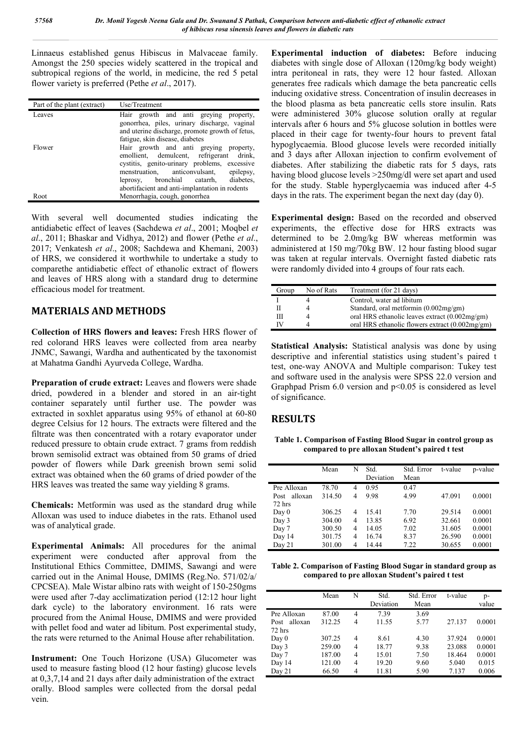Linnaeus established genus Hibiscus in Malvaceae family. Amongst the 250 species widely scattered in the tropical and subtropical regions of the world, in medicine, the red 5 petal flower variety is preferred (Pethe *et al*., 2017).

| Part of the plant (extract) | Use/Treatment                                                                                                                                                                                                                                                            |
|-----------------------------|--------------------------------------------------------------------------------------------------------------------------------------------------------------------------------------------------------------------------------------------------------------------------|
| Leaves                      | Hair growth and anti greying property,<br>gonorrhea, piles, urinary discharge, vaginal<br>and uterine discharge, promote growth of fetus,<br>fatigue, skin disease, diabetes                                                                                             |
| Flower                      | Hair growth and anti greying property,<br>emollient, demulcent, refrigerant drink,<br>cystitis, genito-urinary problems, excessive<br>menstruation, anticonvulsant, epilepsy,<br>leprosy, bronchial catarrh, diabetes,<br>abortifacient and anti-implantation in rodents |
| Root                        | Menorrhagia, cough, gonorrhea                                                                                                                                                                                                                                            |

With several well documented studies indicating the antidiabetic effect of leaves (Sachdewa *et al*., 2001; Moqbel *et al*., 2011; Bhaskar and Vidhya, 2012) and flower (Pethe *et al*., 2017; Venkatesh *et al*., 2008; Sachdewa and Khemani, 2003) of HRS, we considered it worthwhile to undertake a study to comparethe antidiabetic effect of ethanolic extract of flowers and leaves of HRS along with a standard drug to determine efficacious model for treatment.

### **MATERIALS AND METHODS**

**Collection of HRS flowers and leaves:** Fresh HRS flower of red colorand HRS leaves were collected from area nearby JNMC, Sawangi, Wardha and authenticated by the taxonomist at Mahatma Gandhi Ayurveda College, Wardha.

**Preparation of crude extract:** Leaves and flowers were shade dried, powdered in a blender and stored in an air-tight container separately until further use. The powder was extracted in soxhlet apparatus using 95% of ethanol at 60-80 degree Celsius for 12 hours. The extracts were filtered and the filtrate was then concentrated with a rotary evaporator under reduced pressure to obtain crude extract. 7 grams from reddish brown semisolid extract was obtained from 50 grams of dried powder of flowers while Dark greenish brown semi solid extract was obtained when the 60 grams of dried powder of the HRS leaves was treated the same way yielding 8 grams.

**Chemicals:** Metformin was used as the standard drug while Alloxan was used to induce diabetes in the rats. Ethanol used was of analytical grade.

**Experimental Animals:** All procedures for the animal experiment were conducted after approval from the Institutional Ethics Committee, DMIMS, Sawangi and were carried out in the Animal House, DMIMS (Reg.No. 571/02/a/ CPCSEA). Male Wistar albino rats with weight of 150-250gms were used after 7-day acclimatization period (12:12 hour light dark cycle) to the laboratory environment. 16 rats were procured from the Animal House, DMIMS and were provided with pellet food and water ad libitum. Post experimental study, the rats were returned to the Animal House after rehabilitation.

**Instrument:** One Touch Horizone (USA) Glucometer was used to measure fasting blood (12 hour fasting) glucose levels at 0,3,7,14 and 21 days after daily administration of the extract orally. Blood samples were collected from the dorsal pedal vein.

**Experimental induction of diabetes:** Before inducing diabetes with single dose of Alloxan (120mg/kg body weight) intra peritoneal in rats, they were 12 hour fasted. Alloxan generates free radicals which damage the beta pancreatic cells inducing oxidative stress. Concentration of insulin decreases in the blood plasma as beta pancreatic cells store insulin. Rats were administered 30% glucose solution orally at regular intervals after 6 hours and 5% glucose solution in bottles were placed in their cage for twenty-four hours to prevent fatal hypoglycaemia. Blood glucose levels were recorded initially and 3 days after Alloxan injection to confirm evolvement of diabetes. After stabilizing the diabetic rats for 5 days, rats having blood glucose levels >250mg/dl were set apart and used for the study. Stable hyperglycaemia was induced after 4-5 days in the rats. The experiment began the next day (day 0).

**Experimental design:** Based on the recorded and observed experiments, the effective dose for HRS extracts was determined to be 2.0mg/kg BW whereas metformin was administered at 150 mg/70kg BW. 12 hour fasting blood sugar was taken at regular intervals. Overnight fasted diabetic rats were randomly divided into 4 groups of four rats each.

| Group | No of Rats | Treatment (for 21 days)                          |
|-------|------------|--------------------------------------------------|
|       |            | Control, water ad libitum                        |
|       |            | Standard, oral metformin (0.002mg/gm)            |
| Ш     |            | oral HRS ethanolic leaves extract (0.002mg/gm)   |
| TV    |            | oral HRS ethanolic flowers extract $(0.002mg/m)$ |

**Statistical Analysis:** Statistical analysis was done by using descriptive and inferential statistics using student's paired t test, one-way ANOVA and Multiple comparison: Tukey test and software used in the analysis were SPSS 22.0 version and Graphpad Prism 6.0 version and p<0.05 is considered as level of significance.

## **RESULTS**

**Table 1. Comparison of Fasting Blood Sugar in control group as compared to pre alloxan Student's paired t test**

|                 | Mean   | N | Std.<br>Deviation | Std. Error<br>Mean | t-value | p-value |
|-----------------|--------|---|-------------------|--------------------|---------|---------|
| Pre Alloxan     | 78.70  | 4 | 0.95              | 0.47               |         |         |
| alloxan<br>Post | 314.50 | 4 | 9.98              | 4.99               | 47.091  | 0.0001  |
| 72 hrs          |        |   |                   |                    |         |         |
| Day 0           | 306.25 | 4 | 15.41             | 7.70               | 29.514  | 0.0001  |
| Day 3           | 304.00 | 4 | 13.85             | 6.92               | 32.661  | 0.0001  |
| Day 7           | 300.50 | 4 | 14.05             | 7.02               | 31.605  | 0.0001  |
| Day 14          | 301.75 | 4 | 16.74             | 8.37               | 26.590  | 0.0001  |
| Day 21          | 301.00 | 4 | 14.44             | 7.22               | 30.655  | 0.0001  |

**Table 2. Comparison of Fasting Blood Sugar in standard group as compared to pre alloxan Student's paired t test**

|                 | Mean   | N | Std.<br>Deviation | Std. Error<br>Mean | t-value | p-<br>value |
|-----------------|--------|---|-------------------|--------------------|---------|-------------|
| Pre Alloxan     | 87.00  | 4 | 7.39              | 3.69               |         |             |
| alloxan<br>Post | 312.25 | 4 | 11.55             | 5.77               | 27.137  | 0.0001      |
| 72 hrs          |        |   |                   |                    |         |             |
| Day 0           | 307.25 | 4 | 8.61              | 4.30               | 37.924  | 0.0001      |
| Day 3           | 259.00 | 4 | 18.77             | 9.38               | 23.088  | 0.0001      |
| Day 7           | 187.00 | 4 | 15.01             | 7.50               | 18.464  | 0.0001      |
| Day 14          | 121.00 | 4 | 19.20             | 9.60               | 5.040   | 0.015       |
| Day 21          | 66.50  | 4 | 11.81             | 5.90               | 7.137   | 0.006       |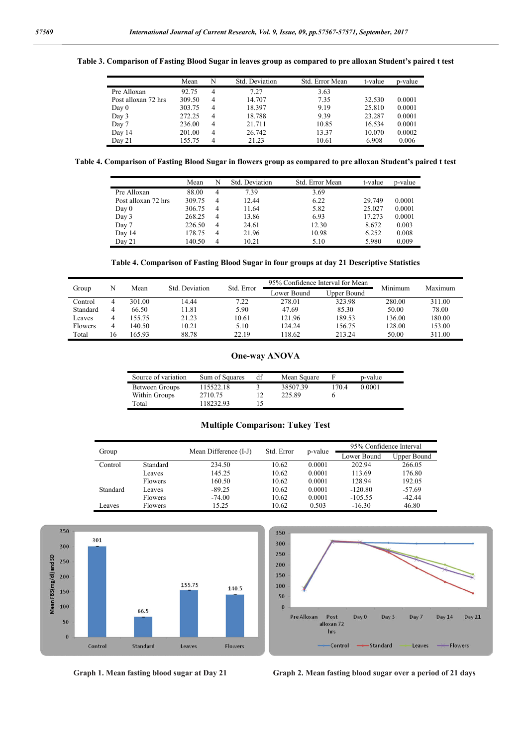#### **Table 3. Comparison of Fasting Blood Sugar in leaves group as compared to pre alloxan Student's paired t test**

|                     | Mean   | N | Std. Deviation | Std. Error Mean | t-value | p-value |
|---------------------|--------|---|----------------|-----------------|---------|---------|
| Pre Alloxan         | 92.75  | 4 | 7.27           | 3.63            |         |         |
| Post alloxan 72 hrs | 309.50 | 4 | 14.707         | 7.35            | 32.530  | 0.0001  |
| Day 0               | 303.75 | 4 | 18.397         | 9.19            | 25.810  | 0.0001  |
| Day 3               | 272.25 | 4 | 18.788         | 9.39            | 23.287  | 0.0001  |
| Day 7               | 236.00 | 4 | 21.711         | 10.85           | 16.534  | 0.0001  |
| Day 14              | 201.00 | 4 | 26.742         | 13.37           | 10.070  | 0.0002  |
| Day 21              | 155.75 |   | 21.23          | 10.61           | 6.908   | 0.006   |

**Table 4. Comparison of Fasting Blood Sugar in flowers group as compared to pre alloxan Student's paired t test**

|                     | Mean   | N | Std. Deviation | Std. Error Mean | t-value | p-value |
|---------------------|--------|---|----------------|-----------------|---------|---------|
| Pre Alloxan         | 88.00  | 4 | 7.39           | 3.69            |         |         |
| Post alloxan 72 hrs | 309.75 | 4 | 12.44          | 6.22            | 29.749  | 0.0001  |
| Day 0               | 306.75 | 4 | 11.64          | 5.82            | 25.027  | 0.0001  |
| Day 3               | 268.25 | 4 | 13.86          | 6.93            | 17.273  | 0.0001  |
| Day 7               | 226.50 | 4 | 24.61          | 12.30           | 8.672   | 0.003   |
| Day 14              | 178.75 | 4 | 21.96          | 10.98           | 6.252   | 0.008   |
| Day 21              | 140.50 | 4 | 10.21          | 5.10            | 5.980   | 0.009   |

**Table 4. Comparison of Fasting Blood Sugar in four groups at day 21 Descriptive Statistics**

|                |      |        | Std. Deviation | Std. Error  |             | 95% Confidence Interval for Mean | Minimum | Maximum |
|----------------|------|--------|----------------|-------------|-------------|----------------------------------|---------|---------|
| N<br>Group     | Mean |        |                | Lower Bound | Upper Bound |                                  |         |         |
| Control        | 4    | 301.00 | 14.44          | 7.22        | 278.01      | 323.98                           | 280.00  | 311.00  |
| Standard       | 4    | 66.50  | 1.81           | 5.90        | 47.69       | 85.30                            | 50.00   | 78.00   |
| Leaves         | 4    | 155.75 | 21.23          | 10.61       | 121.96      | 189.53                           | 136.00  | 180.00  |
| <b>Flowers</b> | 4    | 140.50 | 10.21          | 5.10        | 124.24      | 156.75                           | 128.00  | 153.00  |
| Total          | 16   | 165 93 | 88.78          | 22.19       | 18.62       | 213.24                           | 50.00   | 311.00  |

#### **One-way ANOVA**

| Source of variation | Sum of Squares | df | Mean Square |      | p-value |
|---------------------|----------------|----|-------------|------|---------|
| Between Groups      | 115522.18      |    | 38507.39    | 1704 | 0.0001  |
| Within Groups       | 2710.75        |    | 225.89      |      |         |
| Total               | 118232.93      |    |             |      |         |

#### **Multiple Comparison: Tukey Test**

|          |                |                       |            |         | 95% Confidence Interval |             |  |
|----------|----------------|-----------------------|------------|---------|-------------------------|-------------|--|
| Group    |                | Mean Difference (I-J) | Std. Error | p-value | Lower Bound             | Upper Bound |  |
| Control  | Standard       | 234.50                | 10.62      | 0.0001  | 202.94                  | 266.05      |  |
|          | Leaves         | 145.25                | 10.62      | 0.0001  | 113.69                  | 176.80      |  |
|          | <b>Flowers</b> | 160.50                | 10.62      | 0.0001  | 128.94                  | 192.05      |  |
| Standard | Leaves         | $-89.25$              | 10.62      | 0.0001  | $-120.80$               | $-57.69$    |  |
|          | <b>Flowers</b> | $-74.00$              | 10.62      | 0.0001  | $-105.55$               | $-42.44$    |  |
| Leaves   | <b>Flowers</b> | 15.25                 | 10.62      | 0.503   | $-16.30$                | 46.80       |  |





 **Graph 1. Mean fasting blood sugar at Day 21 Graph 2. Mean fasting blood sugar over a period of 21 days**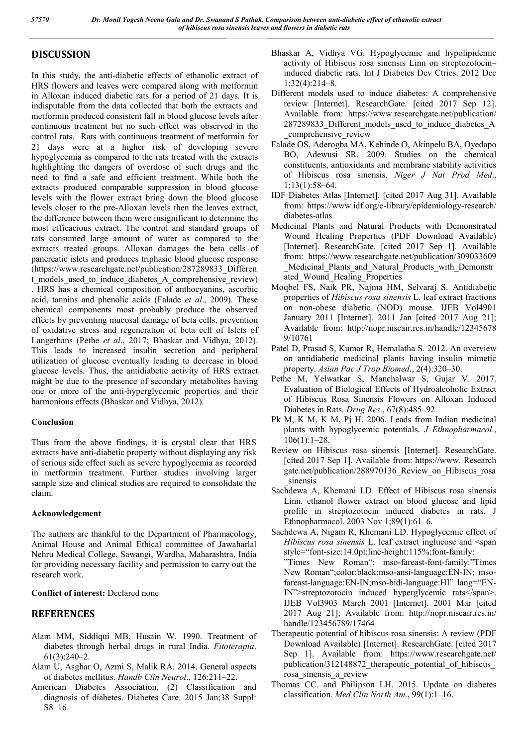## **DISCUSSION**

In this study, the anti-diabetic effects of ethanolic extract of HRS flowers and leaves were compared along with metformin in Alloxan induced diabetic rats for a period of 21 days. It is indisputable from the data collected that both the extracts and metformin produced consistent fall in blood glucose levels after continuous treatment but no such effect was observed in the control rats. Rats with continuous treatment of metformin for 21 days were at a higher risk of developing severe hypoglycemia as compared to the rats treated with the extracts highlighting the dangers of overdose of such drugs and the need to find a safe and efficient treatment. While both the extracts produced comparable suppression in blood glucose levels with the flower extract bring down the blood glucose levels closer to the pre-Alloxan levels then the leaves extract, the difference between them were insignificant to determine the most efficacious extract. The control and standard groups of rats consumed large amount of water as compared to the extracts treated groups. Alloxan damages the beta cells of pancreatic islets and produces triphasic blood glucose response (https://www.researchgate.net/publication/287289833\_Differen t\_models\_used\_to\_induce\_diabetes\_A\_comprehensive\_review) . HRS has a chemical composition of anthocyanins, ascorbic acid, tannins and phenolic acids (Falade *et al*., 2009). These chemical components most probably produce the observed effects by preventing mucosal damage of beta cells, prevention of oxidative stress and regeneration of beta cell of Islets of Langerhans (Pethe *et al*., 2017; Bhaskar and Vidhya, 2012). This leads to increased insulin secretion and peripheral utilization of glucose eventually leading to decrease in blood glucose levels. Thus, the antidiabetic activity of HRS extract might be due to the presence of secondary metabolites having one or more of the anti-hyperglycemic properties and their harmonious effects (Bhaskar and Vidhya, 2012).

#### **Conclusion**

Thus from the above findings, it is crystal clear that HRS extracts have anti-diabetic property without displaying any risk of serious side effect such as severe hypoglycemia as recorded in metformin treatment. Further studies involving larger sample size and clinical studies are required to consolidate the claim.

#### **Acknowledgement**

The authors are thankful to the Department of Pharmacology, Animal House and Animal Ethical committee of Jawaharlal Nehru Medical College, Sawangi, Wardha, Maharashtra, India for providing necessary facility and permission to carry out the research work.

### **Conflict of interest:** Declared none

### **REFERENCES**

- Alam MM, Siddiqui MB, Husain W. 1990. Treatment of diabetes through herbal drugs in rural India. *Fitoterapia*. 61(3):240–2.
- Alam U, Asghar O, Azmi S, Malik RA. 2014. General aspects of diabetes mellitus. *Handb Clin Neurol*., 126:211–22.
- American Diabetes Association, (2) Classification and diagnosis of diabetes. Diabetes Care. 2015 Jan;38 Suppl: S8–16.
- Bhaskar A, Vidhya VG. Hypoglycemic and hypolipidemic activity of Hibiscus rosa sinensis Linn on streptozotocin– induced diabetic rats. Int J Diabetes Dev Ctries. 2012 Dec 1;32(4):214–8.
- Different models used to induce diabetes: A comprehensive review [Internet]. ResearchGate. [cited 2017 Sep 12]. Available from: https://www.researchgate.net/publication/ 287289833 Different models used to induce diabetes A \_comprehensive\_review
- Falade OS, Aderogba MA, Kehinde O, Akinpelu BA, Oyedapo BO, Adewusi SR. 2009. Studies on the chemical constituents, antioxidants and membrane stability activities of Hibiscus rosa sinensis. *Niger J Nat Prod Med*., 1;13(1):58–64.
- IDF Diabetes Atlas [Internet]. [cited 2017 Aug 31]. Available from: https://www.idf.org/e-library/epidemiology-research/ diabetes-atlas
- Medicinal Plants and Natural Products with Demonstrated Wound Healing Properties (PDF Download Available) [Internet]. ResearchGate. [cited 2017 Sep 1]. Available from: https://www.researchgate.net/publication/309033609 \_Medicinal\_Plants\_and\_Natural\_Products\_with\_Demonstr ated Wound Healing Properties
- Moqbel FS, Naik PR, Najma HM, Selvaraj S. Antidiabetic properties of *Hibiscus rosa sinensis* L. leaf extract fractions on non-obese diabetic (NOD) mouse. IJEB Vol4901 January 2011 [Internet]. 2011 Jan [cited 2017 Aug 21]; Available from: http://nopr.niscair.res.in/handle/12345678 9/10761
- Patel D, Prasad S, Kumar R, Hemalatha S. 2012. An overview on antidiabetic medicinal plants having insulin mimetic property. *Asian Pac J Trop Biomed*., 2(4):320–30.
- Pethe M, Yelwatkar S, Manchalwar S, Gujar V. 2017. Evaluation of Biological Effects of Hydroalcoholic Extract of Hibiscus Rosa Sinensis Flowers on Alloxan Induced Diabetes in Rats. *Drug Res*., 67(8):485–92.
- Pk M, K M, K M, Pj H. 2006. Leads from Indian medicinal plants with hypoglycemic potentials. *J Ethnopharmacol*., 106(1):1–28.
- Review on Hibiscus rosa sinensis [Internet]. ResearchGate. [cited 2017 Sep 1]. Available from: https://www. Research gate.net/publication/288970136\_Review\_on\_Hibiscus\_rosa \_sinensis
- Sachdewa A, Khemani LD. Effect of Hibiscus rosa sinensis Linn. ethanol flower extract on blood glucose and lipid profile in streptozotocin induced diabetes in rats. J Ethnopharmacol. 2003 Nov 1;89(1):61–6.

Sachdewa A, Nigam R, Khemani LD. Hypoglycemic effect of *Hibiscus rosa sinensis* L. leaf extract inglucose and <span style="font-size:14.0pt;line-height:115%;font-family: "Times New Roman"; mso-fareast-font-family:"Times New Roman";color:black;mso-ansi-language:EN-IN; msofareast-language:EN-IN;mso-bidi-language:HI" lang="EN-IN">streptozotocin induced hyperglycemic rats</span>. IJEB Vol3903 March 2001 [Internet]. 2001 Mar [cited 2017 Aug 21]; Available from: http://nopr.niscair.res.in/ handle/123456789/17464

- Therapeutic potential of hibiscus rosa sinensis: A review (PDF Download Available) [Internet]. ResearchGate. [cited 2017 Sep 1]. Available from: https://www.researchgate.net/ publication/312148872 therapeutic potential of hibiscus rosa\_sinensis\_a\_review
- Thomas CC. and Philipson LH. 2015. Update on diabetes classification. *Med Clin North Am*., 99(1):1–16.